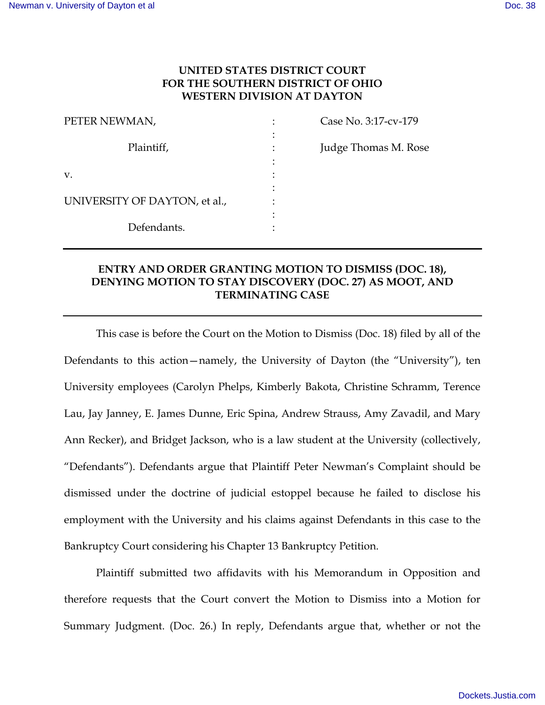## **UNITED STATES DISTRICT COURT FOR THE SOUTHERN DISTRICT OF OHIO WESTERN DIVISION AT DAYTON**

| PETER NEWMAN,                 | Case No. 3:17-cv-179 |
|-------------------------------|----------------------|
| Plaintiff,                    | Judge Thomas M. Rose |
| V.                            |                      |
|                               |                      |
| UNIVERSITY OF DAYTON, et al., |                      |
|                               |                      |
| Defendants.                   |                      |

# **ENTRY AND ORDER GRANTING MOTION TO DISMISS (DOC. 18), DENYING MOTION TO STAY DISCOVERY (DOC. 27) AS MOOT, AND TERMINATING CASE**

This case is before the Court on the Motion to Dismiss (Doc. 18) filed by all of the Defendants to this action—namely, the University of Dayton (the "University"), ten University employees (Carolyn Phelps, Kimberly Bakota, Christine Schramm, Terence Lau, Jay Janney, E. James Dunne, Eric Spina, Andrew Strauss, Amy Zavadil, and Mary Ann Recker), and Bridget Jackson, who is a law student at the University (collectively, "Defendants"). Defendants argue that Plaintiff Peter Newman's Complaint should be dismissed under the doctrine of judicial estoppel because he failed to disclose his employment with the University and his claims against Defendants in this case to the Bankruptcy Court considering his Chapter 13 Bankruptcy Petition.

Plaintiff submitted two affidavits with his Memorandum in Opposition and therefore requests that the Court convert the Motion to Dismiss into a Motion for Summary Judgment. (Doc. 26.) In reply, Defendants argue that, whether or not the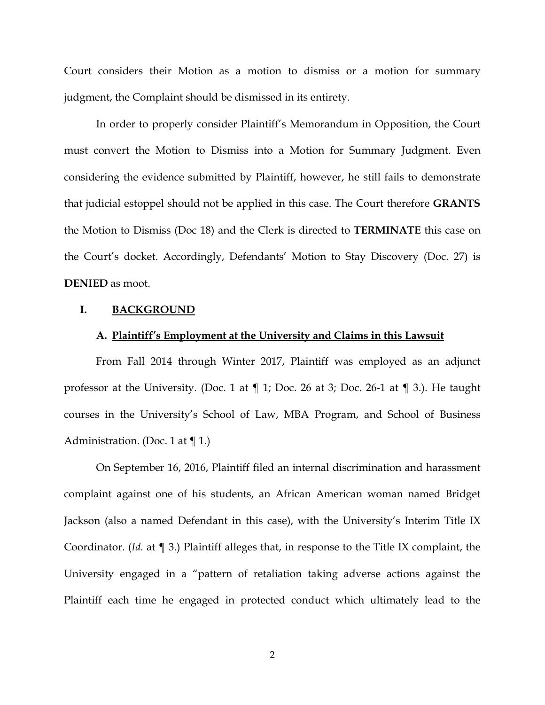Court considers their Motion as a motion to dismiss or a motion for summary judgment, the Complaint should be dismissed in its entirety.

In order to properly consider Plaintiff's Memorandum in Opposition, the Court must convert the Motion to Dismiss into a Motion for Summary Judgment. Even considering the evidence submitted by Plaintiff, however, he still fails to demonstrate that judicial estoppel should not be applied in this case. The Court therefore **GRANTS** the Motion to Dismiss (Doc 18) and the Clerk is directed to **TERMINATE** this case on the Court's docket. Accordingly, Defendants' Motion to Stay Discovery (Doc. 27) is **DENIED** as moot.

### **I. BACKGROUND**

## **A. Plaintiff's Employment at the University and Claims in this Lawsuit**

From Fall 2014 through Winter 2017, Plaintiff was employed as an adjunct professor at the University. (Doc. 1 at ¶ 1; Doc. 26 at 3; Doc. 26-1 at ¶ 3.). He taught courses in the University's School of Law, MBA Program, and School of Business Administration. (Doc. 1 at ¶ 1*.*)

On September 16, 2016, Plaintiff filed an internal discrimination and harassment complaint against one of his students, an African American woman named Bridget Jackson (also a named Defendant in this case), with the University's Interim Title IX Coordinator. (*Id.* at ¶ 3.) Plaintiff alleges that, in response to the Title IX complaint, the University engaged in a "pattern of retaliation taking adverse actions against the Plaintiff each time he engaged in protected conduct which ultimately lead to the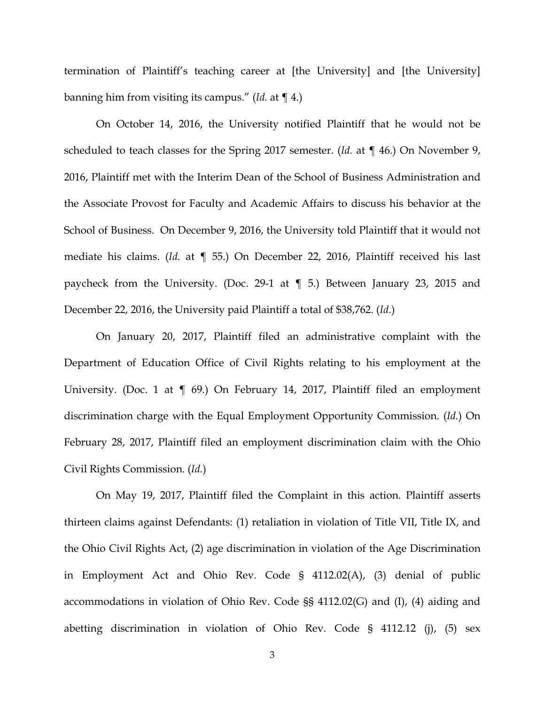termination of Plaintiff's teaching career at [the University] and [the University] banning him from visiting its campus." (*Id.* at ¶ 4.)

On October 14, 2016, the University notified Plaintiff that he would not be scheduled to teach classes for the Spring 2017 semester. (*Id.* at ¶ 46.) On November 9, 2016, Plaintiff met with the Interim Dean of the School of Business Administration and the Associate Provost for Faculty and Academic Affairs to discuss his behavior at the School of Business. On December 9, 2016, the University told Plaintiff that it would not mediate his claims. (*Id.* at ¶ 55.) On December 22, 2016, Plaintiff received his last paycheck from the University. (Doc. 29-1 at ¶ 5.) Between January 23, 2015 and December 22, 2016, the University paid Plaintiff a total of \$38,762. (*Id.*)

On January 20, 2017, Plaintiff filed an administrative complaint with the Department of Education Office of Civil Rights relating to his employment at the University. (Doc. 1 at  $\llbracket$  69.) On February 14, 2017, Plaintiff filed an employment discrimination charge with the Equal Employment Opportunity Commission. (*Id.*) On February 28, 2017, Plaintiff filed an employment discrimination claim with the Ohio Civil Rights Commission. (*Id.*)

On May 19, 2017, Plaintiff filed the Complaint in this action. Plaintiff asserts thirteen claims against Defendants: (1) retaliation in violation of Title VII, Title IX, and the Ohio Civil Rights Act, (2) age discrimination in violation of the Age Discrimination in Employment Act and Ohio Rev. Code § 4112.02(A), (3) denial of public accommodations in violation of Ohio Rev. Code §§ 4112.02(G) and (I), (4) aiding and abetting discrimination in violation of Ohio Rev. Code § 4112.12 (j), (5) sex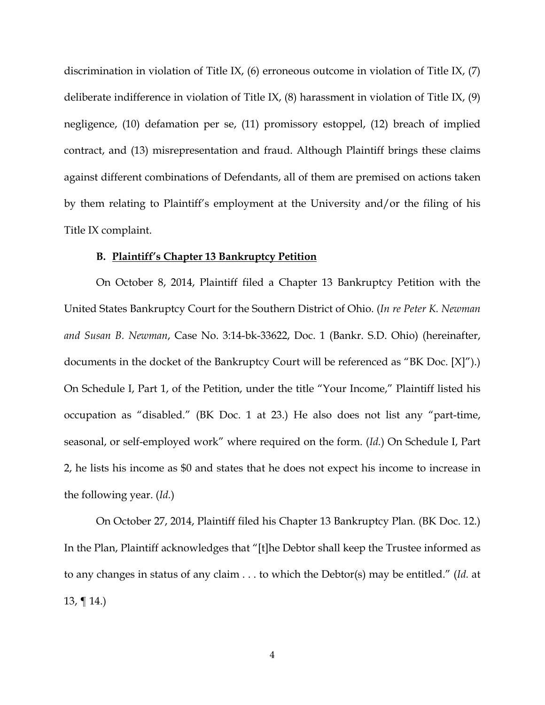discrimination in violation of Title IX, (6) erroneous outcome in violation of Title IX, (7) deliberate indifference in violation of Title IX, (8) harassment in violation of Title IX, (9) negligence, (10) defamation per se, (11) promissory estoppel, (12) breach of implied contract, and (13) misrepresentation and fraud. Although Plaintiff brings these claims against different combinations of Defendants, all of them are premised on actions taken by them relating to Plaintiff's employment at the University and/or the filing of his Title IX complaint.

#### **B. Plaintiff's Chapter 13 Bankruptcy Petition**

On October 8, 2014, Plaintiff filed a Chapter 13 Bankruptcy Petition with the United States Bankruptcy Court for the Southern District of Ohio. (*In re Peter K. Newman and Susan B. Newman*, Case No. 3:14-bk-33622, Doc. 1 (Bankr. S.D. Ohio) (hereinafter, documents in the docket of the Bankruptcy Court will be referenced as "BK Doc. [X]").) On Schedule I, Part 1, of the Petition, under the title "Your Income," Plaintiff listed his occupation as "disabled." (BK Doc. 1 at 23.) He also does not list any "part-time, seasonal, or self-employed work" where required on the form. (*Id.*) On Schedule I, Part 2, he lists his income as \$0 and states that he does not expect his income to increase in the following year. (*Id.*)

On October 27, 2014, Plaintiff filed his Chapter 13 Bankruptcy Plan. (BK Doc. 12.) In the Plan, Plaintiff acknowledges that "[t]he Debtor shall keep the Trustee informed as to any changes in status of any claim . . . to which the Debtor(s) may be entitled." (*Id.* at 13,  $\P$  14.)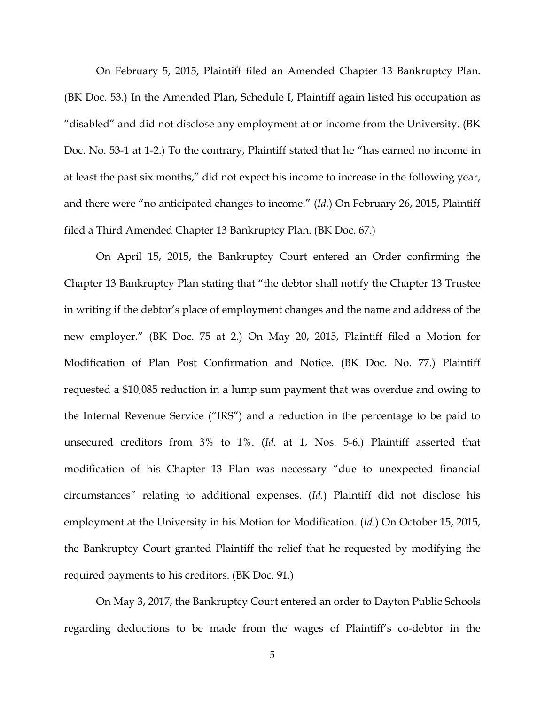On February 5, 2015, Plaintiff filed an Amended Chapter 13 Bankruptcy Plan. (BK Doc. 53.) In the Amended Plan, Schedule I, Plaintiff again listed his occupation as "disabled" and did not disclose any employment at or income from the University. (BK Doc. No. 53-1 at 1-2.) To the contrary, Plaintiff stated that he "has earned no income in at least the past six months," did not expect his income to increase in the following year, and there were "no anticipated changes to income." (*Id.*) On February 26, 2015, Plaintiff filed a Third Amended Chapter 13 Bankruptcy Plan. (BK Doc. 67.)

On April 15, 2015, the Bankruptcy Court entered an Order confirming the Chapter 13 Bankruptcy Plan stating that "the debtor shall notify the Chapter 13 Trustee in writing if the debtor's place of employment changes and the name and address of the new employer." (BK Doc. 75 at 2.) On May 20, 2015, Plaintiff filed a Motion for Modification of Plan Post Confirmation and Notice. (BK Doc. No. 77.) Plaintiff requested a \$10,085 reduction in a lump sum payment that was overdue and owing to the Internal Revenue Service ("IRS") and a reduction in the percentage to be paid to unsecured creditors from 3% to 1%. (*Id.* at 1, Nos. 5-6.) Plaintiff asserted that modification of his Chapter 13 Plan was necessary "due to unexpected financial circumstances" relating to additional expenses. (*Id.*) Plaintiff did not disclose his employment at the University in his Motion for Modification. (*Id.*) On October 15, 2015, the Bankruptcy Court granted Plaintiff the relief that he requested by modifying the required payments to his creditors. (BK Doc. 91.)

On May 3, 2017, the Bankruptcy Court entered an order to Dayton Public Schools regarding deductions to be made from the wages of Plaintiff's co-debtor in the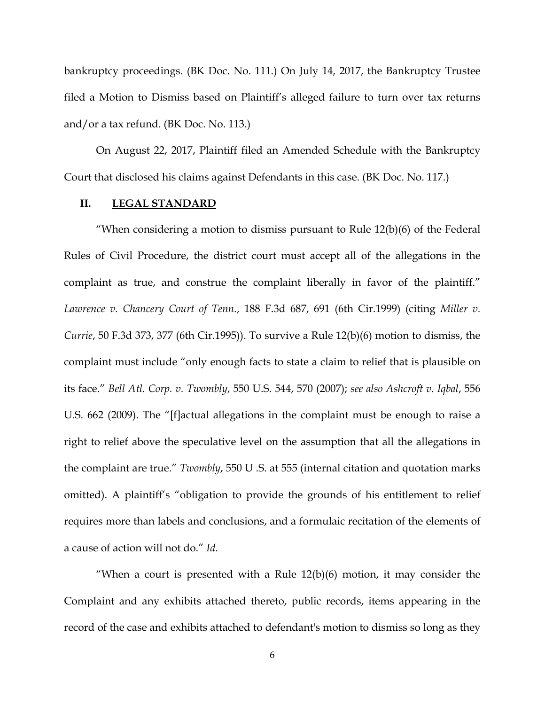bankruptcy proceedings. (BK Doc. No. 111.) On July 14, 2017, the Bankruptcy Trustee filed a Motion to Dismiss based on Plaintiff's alleged failure to turn over tax returns and/or a tax refund. (BK Doc. No. 113.)

On August 22, 2017, Plaintiff filed an Amended Schedule with the Bankruptcy Court that disclosed his claims against Defendants in this case. (BK Doc. No. 117.)

#### **II. LEGAL STANDARD**

"When considering a motion to dismiss pursuant to Rule  $12(b)(6)$  of the Federal Rules of Civil Procedure, the district court must accept all of the allegations in the complaint as true, and construe the complaint liberally in favor of the plaintiff." *Lawrence v. Chancery Court of Tenn.*, 188 F.3d 687, 691 (6th Cir.1999) (citing *Miller v. Currie*, 50 F.3d 373, 377 (6th Cir.1995)). To survive a Rule 12(b)(6) motion to dismiss, the complaint must include "only enough facts to state a claim to relief that is plausible on its face." *Bell Atl. Corp. v. Twombly*, 550 U.S. 544, 570 (2007); *see also Ashcroft v. Iqbal*, 556 U.S. 662 (2009). The "[f]actual allegations in the complaint must be enough to raise a right to relief above the speculative level on the assumption that all the allegations in the complaint are true." *Twombly*, 550 U .S. at 555 (internal citation and quotation marks omitted). A plaintiff's "obligation to provide the grounds of his entitlement to relief requires more than labels and conclusions, and a formulaic recitation of the elements of a cause of action will not do." *Id*.

"When a court is presented with a Rule  $12(b)(6)$  motion, it may consider the Complaint and any exhibits attached thereto, public records, items appearing in the record of the case and exhibits attached to defendant's motion to dismiss so long as they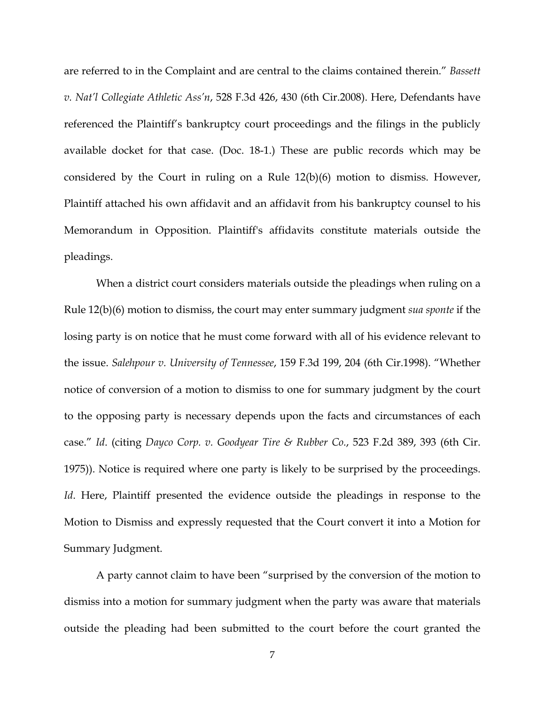are referred to in the Complaint and are central to the claims contained therein." *Bassett v. Nat'l Collegiate Athletic Ass'n*, 528 F.3d 426, 430 (6th Cir.2008). Here, Defendants have referenced the Plaintiff's bankruptcy court proceedings and the filings in the publicly available docket for that case. (Doc. 18-1.) These are public records which may be considered by the Court in ruling on a Rule 12(b)(6) motion to dismiss. However, Plaintiff attached his own affidavit and an affidavit from his bankruptcy counsel to his Memorandum in Opposition. Plaintiff's affidavits constitute materials outside the pleadings.

When a district court considers materials outside the pleadings when ruling on a Rule 12(b)(6) motion to dismiss, the court may enter summary judgment *sua sponte* if the losing party is on notice that he must come forward with all of his evidence relevant to the issue. *Salehpour v. University of Tennessee*, 159 F.3d 199, 204 (6th Cir.1998). "Whether notice of conversion of a motion to dismiss to one for summary judgment by the court to the opposing party is necessary depends upon the facts and circumstances of each case." *Id*. (citing *Dayco Corp. v. Goodyear Tire & Rubber Co.*, 523 F.2d 389, 393 (6th Cir. 1975)). Notice is required where one party is likely to be surprised by the proceedings. *Id*. Here, Plaintiff presented the evidence outside the pleadings in response to the Motion to Dismiss and expressly requested that the Court convert it into a Motion for Summary Judgment.

A party cannot claim to have been "surprised by the conversion of the motion to dismiss into a motion for summary judgment when the party was aware that materials outside the pleading had been submitted to the court before the court granted the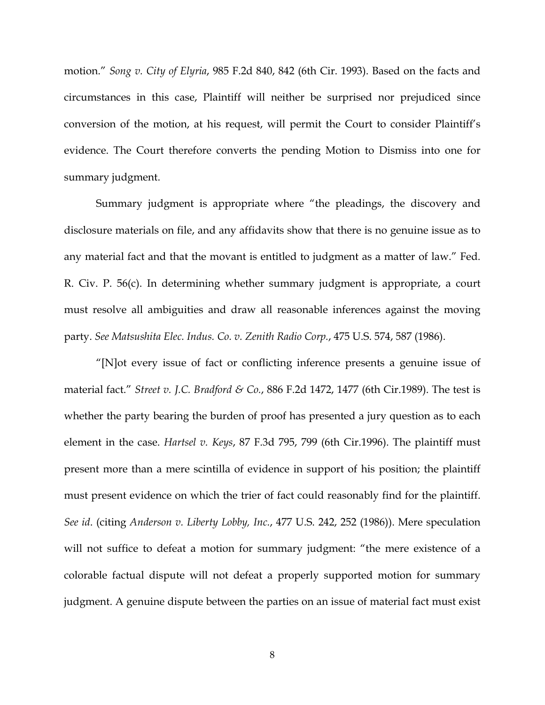motion." *Song v. City of Elyria*, 985 F.2d 840, 842 (6th Cir. 1993). Based on the facts and circumstances in this case, Plaintiff will neither be surprised nor prejudiced since conversion of the motion, at his request, will permit the Court to consider Plaintiff's evidence. The Court therefore converts the pending Motion to Dismiss into one for summary judgment.

Summary judgment is appropriate where "the pleadings, the discovery and disclosure materials on file, and any affidavits show that there is no genuine issue as to any material fact and that the movant is entitled to judgment as a matter of law." Fed. R. Civ. P. 56(c). In determining whether summary judgment is appropriate, a court must resolve all ambiguities and draw all reasonable inferences against the moving party. *See Matsushita Elec. Indus. Co. v. Zenith Radio Corp.*, 475 U.S. 574, 587 (1986).

"[N]ot every issue of fact or conflicting inference presents a genuine issue of material fact." *Street v. J.C. Bradford & Co.*, 886 F.2d 1472, 1477 (6th Cir.1989). The test is whether the party bearing the burden of proof has presented a jury question as to each element in the case. *Hartsel v. Keys*, 87 F.3d 795, 799 (6th Cir.1996). The plaintiff must present more than a mere scintilla of evidence in support of his position; the plaintiff must present evidence on which the trier of fact could reasonably find for the plaintiff. *See id*. (citing *Anderson v. Liberty Lobby, Inc.*, 477 U.S. 242, 252 (1986)). Mere speculation will not suffice to defeat a motion for summary judgment: "the mere existence of a colorable factual dispute will not defeat a properly supported motion for summary judgment. A genuine dispute between the parties on an issue of material fact must exist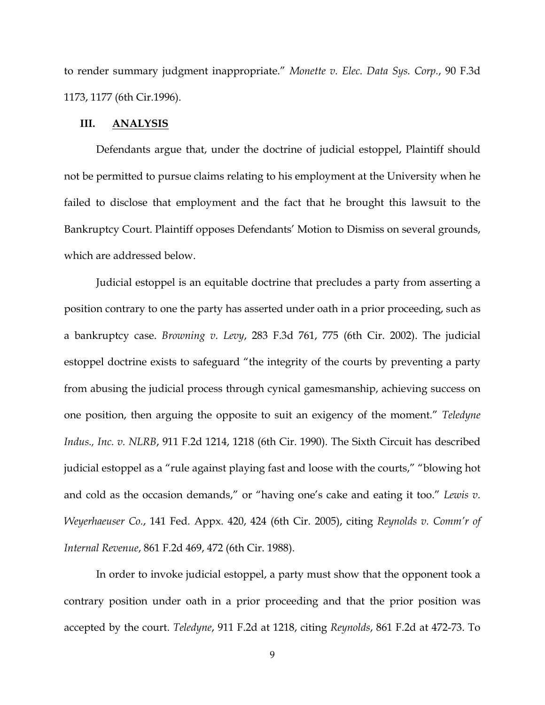to render summary judgment inappropriate." *Monette v. Elec. Data Sys. Corp.*, 90 F.3d 1173, 1177 (6th Cir.1996).

#### **III. ANALYSIS**

Defendants argue that, under the doctrine of judicial estoppel, Plaintiff should not be permitted to pursue claims relating to his employment at the University when he failed to disclose that employment and the fact that he brought this lawsuit to the Bankruptcy Court. Plaintiff opposes Defendants' Motion to Dismiss on several grounds, which are addressed below.

Judicial estoppel is an equitable doctrine that precludes a party from asserting a position contrary to one the party has asserted under oath in a prior proceeding, such as a bankruptcy case. *Browning v. Levy*, 283 F.3d 761, 775 (6th Cir. 2002). The judicial estoppel doctrine exists to safeguard "the integrity of the courts by preventing a party from abusing the judicial process through cynical gamesmanship, achieving success on one position, then arguing the opposite to suit an exigency of the moment." *Teledyne Indus., Inc. v. NLRB*, 911 F.2d 1214, 1218 (6th Cir. 1990). The Sixth Circuit has described judicial estoppel as a "rule against playing fast and loose with the courts," "blowing hot and cold as the occasion demands," or "having one's cake and eating it too." *Lewis v. Weyerhaeuser Co.*, 141 Fed. Appx. 420, 424 (6th Cir. 2005), citing *Reynolds v. Comm'r of Internal Revenue*, 861 F.2d 469, 472 (6th Cir. 1988).

In order to invoke judicial estoppel, a party must show that the opponent took a contrary position under oath in a prior proceeding and that the prior position was accepted by the court. *Teledyne*, 911 F.2d at 1218, citing *Reynolds*, 861 F.2d at 472-73. To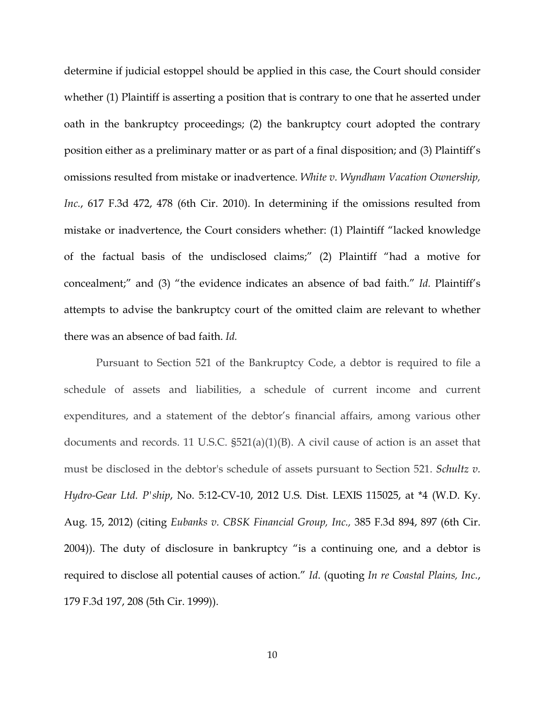determine if judicial estoppel should be applied in this case, the Court should consider whether (1) Plaintiff is asserting a position that is contrary to one that he asserted under oath in the bankruptcy proceedings; (2) the bankruptcy court adopted the contrary position either as a preliminary matter or as part of a final disposition; and (3) Plaintiff's omissions resulted from mistake or inadvertence. *White v. Wyndham Vacation Ownership, Inc.*, 617 F.3d 472, 478 (6th Cir. 2010). In determining if the omissions resulted from mistake or inadvertence, the Court considers whether: (1) Plaintiff "lacked knowledge of the factual basis of the undisclosed claims;" (2) Plaintiff "had a motive for concealment;" and (3) "the evidence indicates an absence of bad faith." *Id.* Plaintiff's attempts to advise the bankruptcy court of the omitted claim are relevant to whether there was an absence of bad faith. *Id.* 

Pursuant to Section 521 of the Bankruptcy Code, a debtor is required to file a schedule of assets and liabilities, a schedule of current income and current expenditures, and a statement of the debtor's financial affairs, among various other documents and records. 11 U.S.C. §521(a)(1)(B). A civil cause of action is an asset that must be disclosed in the debtor's schedule of assets pursuant to Section 521. *Schultz v. Hydro-Gear Ltd. P'ship*, No. 5:12-CV-10, 2012 U.S. Dist. LEXIS 115025, at \*4 (W.D. Ky. Aug. 15, 2012) (citing *Eubanks v. CBSK Financial Group, Inc.,* 385 F.3d 894, 897 (6th Cir. 2004)). The duty of disclosure in bankruptcy "is a continuing one, and a debtor is required to disclose all potential causes of action." *Id*. (quoting *In re Coastal Plains, Inc.*, 179 F.3d 197, 208 (5th Cir. 1999)).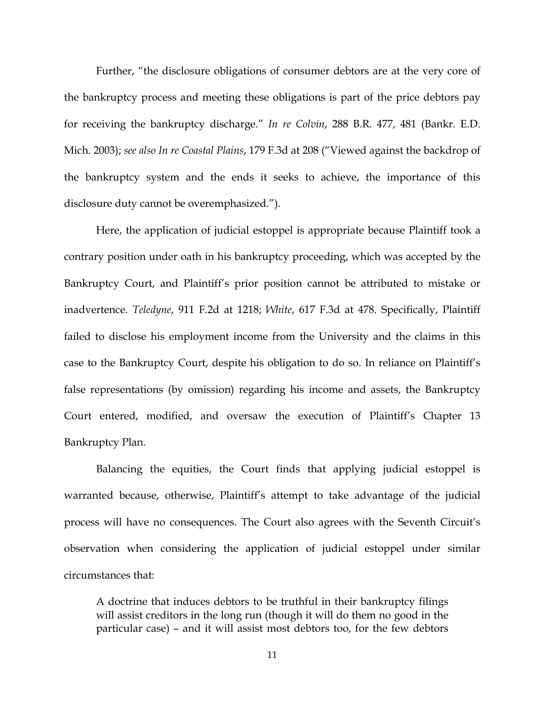Further, "the disclosure obligations of consumer debtors are at the very core of the bankruptcy process and meeting these obligations is part of the price debtors pay for receiving the bankruptcy discharge." *In re Colvin*, 288 B.R. 477, 481 (Bankr. E.D. Mich. 2003); *see also In re Coastal Plains*, 179 F.3d at 208 ("Viewed against the backdrop of the bankruptcy system and the ends it seeks to achieve, the importance of this disclosure duty cannot be overemphasized.").

Here, the application of judicial estoppel is appropriate because Plaintiff took a contrary position under oath in his bankruptcy proceeding, which was accepted by the Bankruptcy Court, and Plaintiff's prior position cannot be attributed to mistake or inadvertence. *Teledyne*, 911 F.2d at 1218; *White*, 617 F.3d at 478. Specifically, Plaintiff failed to disclose his employment income from the University and the claims in this case to the Bankruptcy Court, despite his obligation to do so. In reliance on Plaintiff's false representations (by omission) regarding his income and assets, the Bankruptcy Court entered, modified, and oversaw the execution of Plaintiff's Chapter 13 Bankruptcy Plan.

Balancing the equities, the Court finds that applying judicial estoppel is warranted because, otherwise, Plaintiff's attempt to take advantage of the judicial process will have no consequences. The Court also agrees with the Seventh Circuit's observation when considering the application of judicial estoppel under similar circumstances that:

A doctrine that induces debtors to be truthful in their bankruptcy filings will assist creditors in the long run (though it will do them no good in the particular case) – and it will assist most debtors too, for the few debtors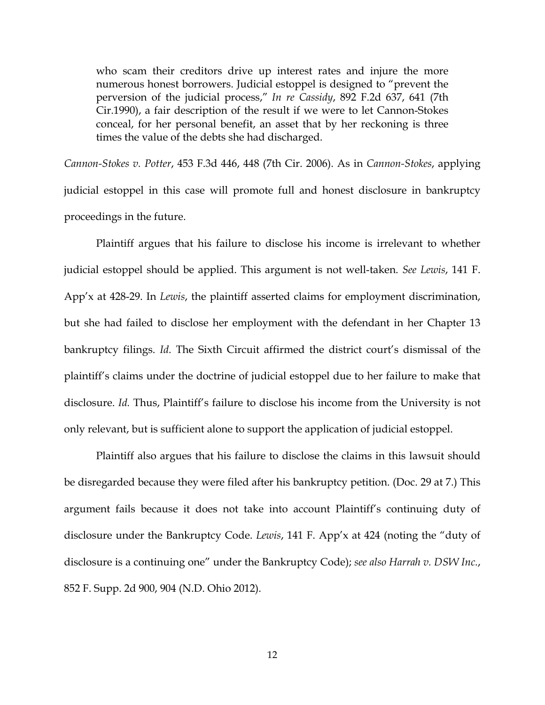who scam their creditors drive up interest rates and injure the more numerous honest borrowers. Judicial estoppel is designed to "prevent the perversion of the judicial process," *In re Cassidy*, 892 F.2d 637, 641 (7th Cir.1990), a fair description of the result if we were to let Cannon-Stokes conceal, for her personal benefit, an asset that by her reckoning is three times the value of the debts she had discharged.

*Cannon-Stokes v. Potter*, 453 F.3d 446, 448 (7th Cir. 2006). As in *Cannon-Stokes*, applying judicial estoppel in this case will promote full and honest disclosure in bankruptcy proceedings in the future.

Plaintiff argues that his failure to disclose his income is irrelevant to whether judicial estoppel should be applied. This argument is not well-taken. *See Lewis*, 141 F. App'x at 428-29. In *Lewis*, the plaintiff asserted claims for employment discrimination, but she had failed to disclose her employment with the defendant in her Chapter 13 bankruptcy filings. *Id.* The Sixth Circuit affirmed the district court's dismissal of the plaintiff's claims under the doctrine of judicial estoppel due to her failure to make that disclosure. *Id.* Thus, Plaintiff's failure to disclose his income from the University is not only relevant, but is sufficient alone to support the application of judicial estoppel.

Plaintiff also argues that his failure to disclose the claims in this lawsuit should be disregarded because they were filed after his bankruptcy petition. (Doc. 29 at 7.) This argument fails because it does not take into account Plaintiff's continuing duty of disclosure under the Bankruptcy Code. *Lewis*, 141 F. App'x at 424 (noting the "duty of disclosure is a continuing one" under the Bankruptcy Code); *see also Harrah v. DSW Inc.*, 852 F. Supp. 2d 900, 904 (N.D. Ohio 2012).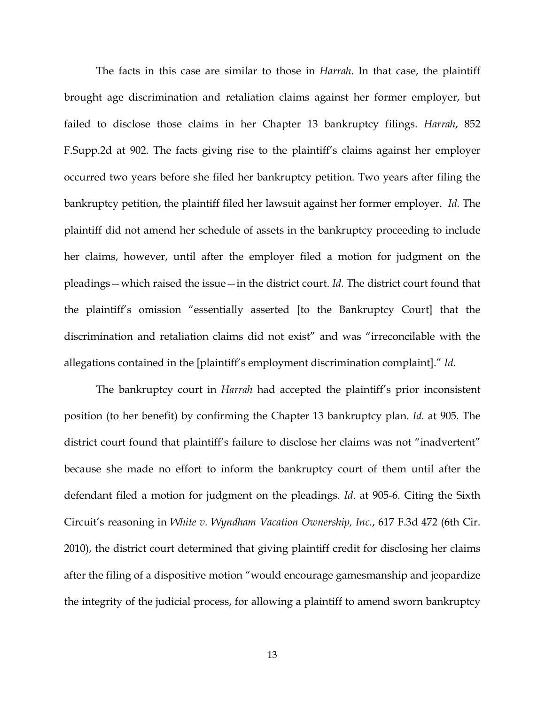The facts in this case are similar to those in *Harrah*. In that case, the plaintiff brought age discrimination and retaliation claims against her former employer, but failed to disclose those claims in her Chapter 13 bankruptcy filings. *Harrah*, 852 F.Supp.2d at 902. The facts giving rise to the plaintiff's claims against her employer occurred two years before she filed her bankruptcy petition. Two years after filing the bankruptcy petition, the plaintiff filed her lawsuit against her former employer. *Id.* The plaintiff did not amend her schedule of assets in the bankruptcy proceeding to include her claims, however, until after the employer filed a motion for judgment on the pleadings—which raised the issue—in the district court. *Id.* The district court found that the plaintiff's omission "essentially asserted [to the Bankruptcy Court] that the discrimination and retaliation claims did not exist" and was "irreconcilable with the allegations contained in the [plaintiff's employment discrimination complaint]." *Id*.

The bankruptcy court in *Harrah* had accepted the plaintiff's prior inconsistent position (to her benefit) by confirming the Chapter 13 bankruptcy plan. *Id.* at 905. The district court found that plaintiff's failure to disclose her claims was not "inadvertent" because she made no effort to inform the bankruptcy court of them until after the defendant filed a motion for judgment on the pleadings. *Id*. at 905-6. Citing the Sixth Circuit's reasoning in *White v. Wyndham Vacation Ownership, Inc.*, 617 F.3d 472 (6th Cir. 2010), the district court determined that giving plaintiff credit for disclosing her claims after the filing of a dispositive motion "would encourage gamesmanship and jeopardize the integrity of the judicial process, for allowing a plaintiff to amend sworn bankruptcy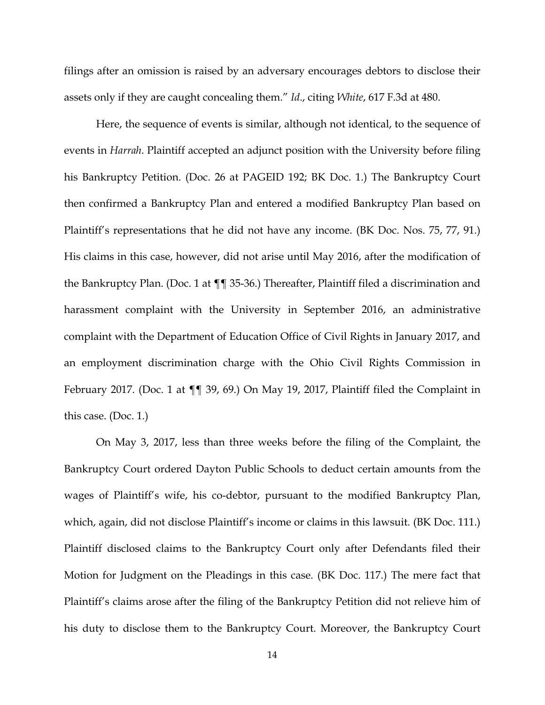filings after an omission is raised by an adversary encourages debtors to disclose their assets only if they are caught concealing them." *Id*., citing *White*, 617 F.3d at 480.

Here, the sequence of events is similar, although not identical, to the sequence of events in *Harrah*. Plaintiff accepted an adjunct position with the University before filing his Bankruptcy Petition. (Doc. 26 at PAGEID 192; BK Doc. 1.) The Bankruptcy Court then confirmed a Bankruptcy Plan and entered a modified Bankruptcy Plan based on Plaintiff's representations that he did not have any income. (BK Doc. Nos. 75, 77, 91.) His claims in this case, however, did not arise until May 2016, after the modification of the Bankruptcy Plan. (Doc. 1 at ¶¶ 35-36.) Thereafter, Plaintiff filed a discrimination and harassment complaint with the University in September 2016, an administrative complaint with the Department of Education Office of Civil Rights in January 2017, and an employment discrimination charge with the Ohio Civil Rights Commission in February 2017. (Doc. 1 at ¶¶ 39, 69.) On May 19, 2017, Plaintiff filed the Complaint in this case. (Doc. 1.)

On May 3, 2017, less than three weeks before the filing of the Complaint, the Bankruptcy Court ordered Dayton Public Schools to deduct certain amounts from the wages of Plaintiff's wife, his co-debtor, pursuant to the modified Bankruptcy Plan, which, again, did not disclose Plaintiff's income or claims in this lawsuit. (BK Doc. 111.) Plaintiff disclosed claims to the Bankruptcy Court only after Defendants filed their Motion for Judgment on the Pleadings in this case. (BK Doc. 117.) The mere fact that Plaintiff's claims arose after the filing of the Bankruptcy Petition did not relieve him of his duty to disclose them to the Bankruptcy Court. Moreover, the Bankruptcy Court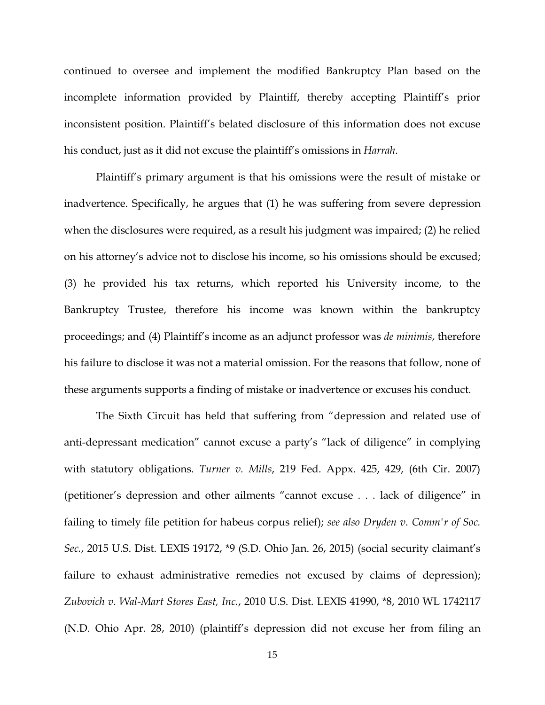continued to oversee and implement the modified Bankruptcy Plan based on the incomplete information provided by Plaintiff, thereby accepting Plaintiff's prior inconsistent position. Plaintiff's belated disclosure of this information does not excuse his conduct, just as it did not excuse the plaintiff's omissions in *Harrah*.

Plaintiff's primary argument is that his omissions were the result of mistake or inadvertence. Specifically, he argues that (1) he was suffering from severe depression when the disclosures were required, as a result his judgment was impaired; (2) he relied on his attorney's advice not to disclose his income, so his omissions should be excused; (3) he provided his tax returns, which reported his University income, to the Bankruptcy Trustee, therefore his income was known within the bankruptcy proceedings; and (4) Plaintiff's income as an adjunct professor was *de minimis*, therefore his failure to disclose it was not a material omission. For the reasons that follow, none of these arguments supports a finding of mistake or inadvertence or excuses his conduct.

The Sixth Circuit has held that suffering from "depression and related use of anti-depressant medication" cannot excuse a party's "lack of diligence" in complying with statutory obligations. *Turner v. Mills*, 219 Fed. Appx. 425, 429, (6th Cir. 2007) (petitioner's depression and other ailments "cannot excuse . . . lack of diligence" in failing to timely file petition for habeus corpus relief); *see also Dryden v. Comm'r of Soc. Sec.*, 2015 U.S. Dist. LEXIS 19172, \*9 (S.D. Ohio Jan. 26, 2015) (social security claimant's failure to exhaust administrative remedies not excused by claims of depression); *Zubovich v. Wal-Mart Stores East, Inc.*, 2010 U.S. Dist. LEXIS 41990, \*8, 2010 WL 1742117 (N.D. Ohio Apr. 28, 2010) (plaintiff's depression did not excuse her from filing an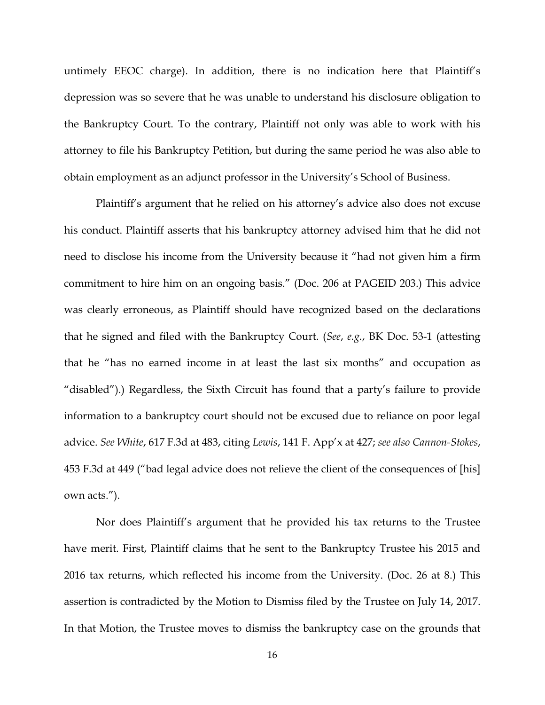untimely EEOC charge). In addition, there is no indication here that Plaintiff's depression was so severe that he was unable to understand his disclosure obligation to the Bankruptcy Court. To the contrary, Plaintiff not only was able to work with his attorney to file his Bankruptcy Petition, but during the same period he was also able to obtain employment as an adjunct professor in the University's School of Business.

Plaintiff's argument that he relied on his attorney's advice also does not excuse his conduct. Plaintiff asserts that his bankruptcy attorney advised him that he did not need to disclose his income from the University because it "had not given him a firm commitment to hire him on an ongoing basis." (Doc. 206 at PAGEID 203.) This advice was clearly erroneous, as Plaintiff should have recognized based on the declarations that he signed and filed with the Bankruptcy Court. (*See*, *e.g.*, BK Doc. 53-1 (attesting that he "has no earned income in at least the last six months" and occupation as "disabled").) Regardless, the Sixth Circuit has found that a party's failure to provide information to a bankruptcy court should not be excused due to reliance on poor legal advice. *See White*, 617 F.3d at 483, citing *Lewis*, 141 F. App'x at 427; *see also Cannon-Stokes*, 453 F.3d at 449 ("bad legal advice does not relieve the client of the consequences of [his] own acts.").

Nor does Plaintiff's argument that he provided his tax returns to the Trustee have merit. First, Plaintiff claims that he sent to the Bankruptcy Trustee his 2015 and 2016 tax returns, which reflected his income from the University. (Doc. 26 at 8.) This assertion is contradicted by the Motion to Dismiss filed by the Trustee on July 14, 2017. In that Motion, the Trustee moves to dismiss the bankruptcy case on the grounds that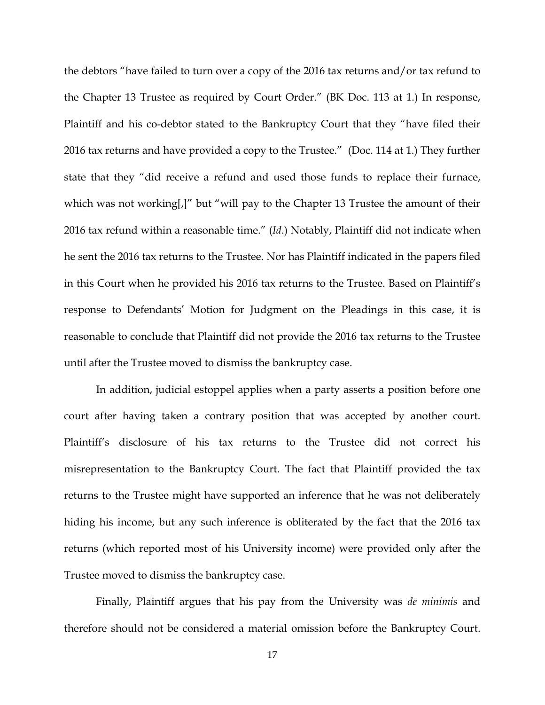the debtors "have failed to turn over a copy of the 2016 tax returns and/or tax refund to the Chapter 13 Trustee as required by Court Order." (BK Doc. 113 at 1.) In response, Plaintiff and his co-debtor stated to the Bankruptcy Court that they "have filed their 2016 tax returns and have provided a copy to the Trustee." (Doc. 114 at 1.) They further state that they "did receive a refund and used those funds to replace their furnace, which was not working[,]" but "will pay to the Chapter 13 Trustee the amount of their 2016 tax refund within a reasonable time." (*Id*.) Notably, Plaintiff did not indicate when he sent the 2016 tax returns to the Trustee. Nor has Plaintiff indicated in the papers filed in this Court when he provided his 2016 tax returns to the Trustee. Based on Plaintiff's response to Defendants' Motion for Judgment on the Pleadings in this case, it is reasonable to conclude that Plaintiff did not provide the 2016 tax returns to the Trustee until after the Trustee moved to dismiss the bankruptcy case.

In addition, judicial estoppel applies when a party asserts a position before one court after having taken a contrary position that was accepted by another court. Plaintiff's disclosure of his tax returns to the Trustee did not correct his misrepresentation to the Bankruptcy Court. The fact that Plaintiff provided the tax returns to the Trustee might have supported an inference that he was not deliberately hiding his income, but any such inference is obliterated by the fact that the 2016 tax returns (which reported most of his University income) were provided only after the Trustee moved to dismiss the bankruptcy case.

Finally, Plaintiff argues that his pay from the University was *de minimis* and therefore should not be considered a material omission before the Bankruptcy Court.